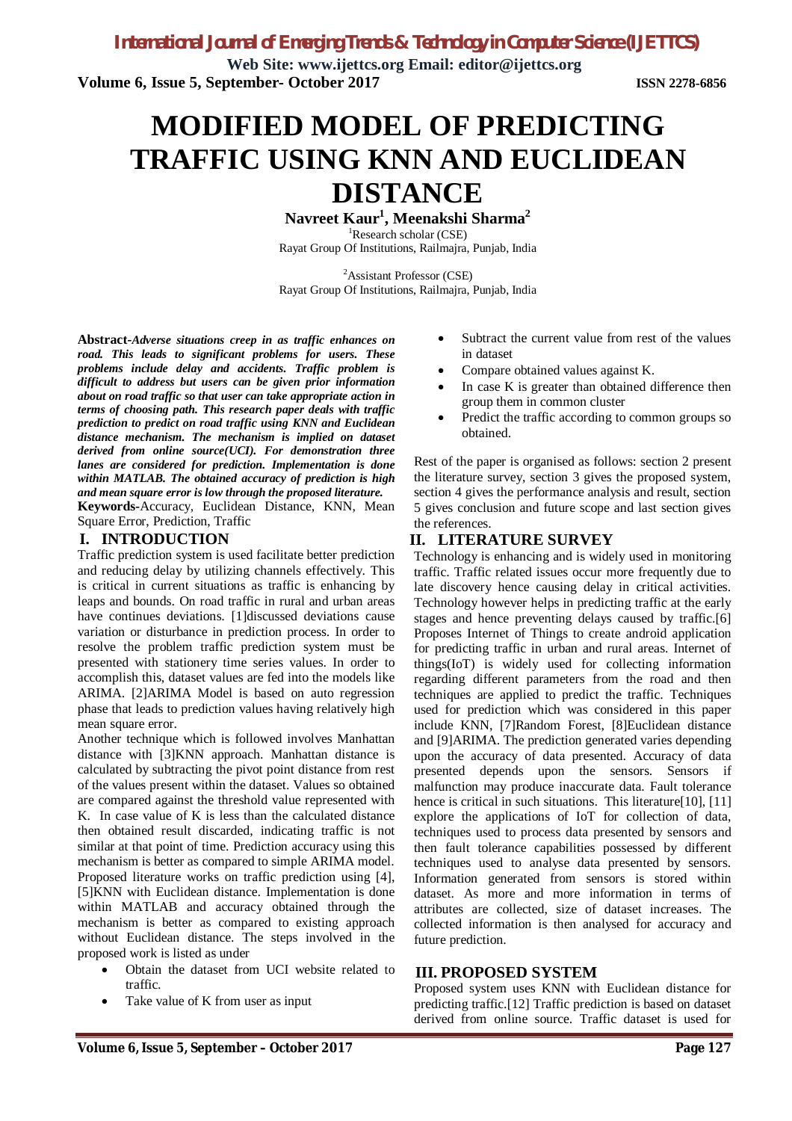**Web Site: www.ijettcs.org Email: editor@ijettcs.org Volume 6, Issue 5, September- October 2017 ISSN 2278-6856**

# **MODIFIED MODEL OF PREDICTING TRAFFIC USING KNN AND EUCLIDEAN DISTANCE**

**Navreet Kaur<sup>1</sup> , Meenakshi Sharma<sup>2</sup>** <sup>1</sup>Research scholar (CSE)

Rayat Group Of Institutions, Railmajra, Punjab, India

<sup>2</sup>Assistant Professor (CSE) Rayat Group Of Institutions, Railmajra, Punjab, India

**Abstract***-Adverse situations creep in as traffic enhances on road. This leads to significant problems for users. These problems include delay and accidents. Traffic problem is difficult to address but users can be given prior information about on road traffic so that user can take appropriate action in terms of choosing path. This research paper deals with traffic prediction to predict on road traffic using KNN and Euclidean distance mechanism. The mechanism is implied on dataset derived from online source(UCI). For demonstration three lanes are considered for prediction. Implementation is done within MATLAB. The obtained accuracy of prediction is high and mean square error is low through the proposed literature.*

**Keywords***-*Accuracy, Euclidean Distance, KNN, Mean Square Error, Prediction, Traffic

# **I. INTRODUCTION**

Traffic prediction system is used facilitate better prediction and reducing delay by utilizing channels effectively. This is critical in current situations as traffic is enhancing by leaps and bounds. On road traffic in rural and urban areas have continues deviations. [1] discussed deviations cause variation or disturbance in prediction process. In order to resolve the problem traffic prediction system must be presented with stationery time series values. In order to accomplish this, dataset values are fed into the models like ARIMA. [2]ARIMA Model is based on auto regression phase that leads to prediction values having relatively high mean square error.

Another technique which is followed involves Manhattan distance with [3]KNN approach. Manhattan distance is calculated by subtracting the pivot point distance from rest of the values present within the dataset. Values so obtained are compared against the threshold value represented with K. In case value of K is less than the calculated distance then obtained result discarded, indicating traffic is not similar at that point of time. Prediction accuracy using this mechanism is better as compared to simple ARIMA model. Proposed literature works on traffic prediction using [4], [5]KNN with Euclidean distance. Implementation is done within MATLAB and accuracy obtained through the mechanism is better as compared to existing approach without Euclidean distance. The steps involved in the proposed work is listed as under

- Obtain the dataset from UCI website related to traffic.
- Take value of K from user as input
- Subtract the current value from rest of the values in dataset
- Compare obtained values against K.
- In case K is greater than obtained difference then group them in common cluster
- Predict the traffic according to common groups so obtained.

Rest of the paper is organised as follows: section 2 present the literature survey, section 3 gives the proposed system, section 4 gives the performance analysis and result, section 5 gives conclusion and future scope and last section gives the references.

### **II. LITERATURE SURVEY**

Technology is enhancing and is widely used in monitoring traffic. Traffic related issues occur more frequently due to late discovery hence causing delay in critical activities. Technology however helps in predicting traffic at the early stages and hence preventing delays caused by traffic.[6] Proposes Internet of Things to create android application for predicting traffic in urban and rural areas. Internet of things(IoT) is widely used for collecting information regarding different parameters from the road and then techniques are applied to predict the traffic. Techniques used for prediction which was considered in this paper include KNN, [7]Random Forest, [8]Euclidean distance and [9]ARIMA. The prediction generated varies depending upon the accuracy of data presented. Accuracy of data presented depends upon the sensors. Sensors if malfunction may produce inaccurate data. Fault tolerance hence is critical in such situations. This literature[10], [11] explore the applications of IoT for collection of data, techniques used to process data presented by sensors and then fault tolerance capabilities possessed by different techniques used to analyse data presented by sensors. Information generated from sensors is stored within dataset. As more and more information in terms of attributes are collected, size of dataset increases. The collected information is then analysed for accuracy and future prediction.

### **III. PROPOSED SYSTEM**

Proposed system uses KNN with Euclidean distance for predicting traffic.[12] Traffic prediction is based on dataset derived from online source. Traffic dataset is used for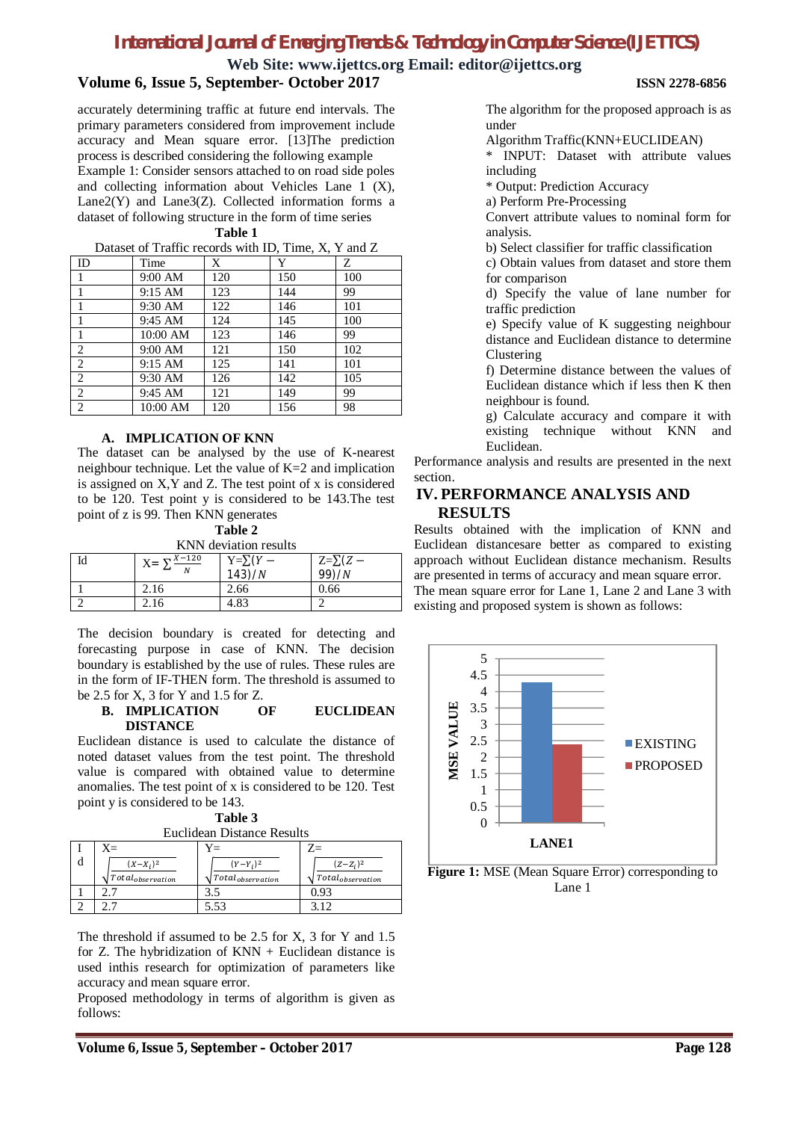# **Web Site: www.ijettcs.org Email: editor@ijettcs.org**

### **Volume 6, Issue 5, September- October 2017 ISSN 2278-6856**

accurately determining traffic at future end intervals. The primary parameters considered from improvement include accuracy and Mean square error. [13]The prediction process is described considering the following example Example 1: Consider sensors attached to on road side poles and collecting information about Vehicles Lane 1 (X), Lane2(Y) and Lane3(Z). Collected information forms a dataset of following structure in the form of time series

**Table 1**  $\frac{1}{2}$ <br>Dataset of Traffic records with ID, Time,  $V$ ,  $V$  and  $Z$ 

| Dataset of Traffic records with ID, Thile, $\Lambda$ , T and $\Lambda$ |                   |     |     |     |  |
|------------------------------------------------------------------------|-------------------|-----|-----|-----|--|
| ID                                                                     | Time              | X   | Y   | Ζ   |  |
| 1                                                                      | 9:00 AM           | 120 | 150 | 100 |  |
|                                                                        | $9:15 \text{ AM}$ | 123 | 144 | 99  |  |
|                                                                        | 9:30 AM           | 122 | 146 | 101 |  |
| 1                                                                      | 9:45 AM           | 124 | 145 | 100 |  |
| 1                                                                      | 10:00 AM          | 123 | 146 | 99  |  |
| 2                                                                      | 9:00 AM           | 121 | 150 | 102 |  |
| 2                                                                      | $9:15 \text{ AM}$ | 125 | 141 | 101 |  |
| 2                                                                      | 9:30 AM           | 126 | 142 | 105 |  |
| 2                                                                      | 9:45 AM           | 121 | 149 | 99  |  |
| 2                                                                      | 10:00 AM          | 120 | 156 | 98  |  |
|                                                                        |                   |     |     |     |  |

#### **A. IMPLICATION OF KNN**

The dataset can be analysed by the use of K-nearest neighbour technique. Let the value of K=2 and implication is assigned on X,Y and Z. The test point of x is considered to be 120. Test point y is considered to be 143.The test point of z is 99. Then KNN generates

#### **Table 2**

KNN deviation results

| Id | $X = \sum_{i=1}^{X-120}$<br>$\mathbf{M}$ | $Y=\sum(Y -$<br>143)/N | $Z=\sqrt{Z-Z}$<br>99)/N |
|----|------------------------------------------|------------------------|-------------------------|
|    | 2.16                                     | 2.66                   | 0.66                    |
|    | 2.16                                     | 4.83                   |                         |

The decision boundary is created for detecting and forecasting purpose in case of KNN. The decision boundary is established by the use of rules. These rules are in the form of IF-THEN form. The threshold is assumed to be 2.5 for X, 3 for Y and 1.5 for Z.

#### **B. IMPLICATION OF EUCLIDEAN DISTANCE**

Euclidean distance is used to calculate the distance of noted dataset values from the test point. The threshold value is compared with obtained value to determine anomalies. The test point of x is considered to be 120. Test point y is considered to be 143.

| Table 3 |                                   |  |  |
|---------|-----------------------------------|--|--|
|         | <b>Fuclidean Distance Results</b> |  |  |

| распасан рижинсе кевинв |                                     |                              |                              |  |  |  |
|-------------------------|-------------------------------------|------------------------------|------------------------------|--|--|--|
|                         | $X =$                               | 7=                           | $7 =$                        |  |  |  |
|                         | $(X - X_i)^2$                       | $(Y - Y_i)^2$                | $(Z-Z_i)^2$                  |  |  |  |
|                         | $\sqrt{\text{Total}_{observation}}$ | $\sqrt{Total_{observation}}$ | $\sqrt{Total_{observation}}$ |  |  |  |
|                         |                                     |                              | 193                          |  |  |  |
|                         |                                     | 5.53                         | 3.12                         |  |  |  |

The threshold if assumed to be 2.5 for X, 3 for Y and 1.5 for Z. The hybridization of  $KNN + Euclidean$  distance is used inthis research for optimization of parameters like accuracy and mean square error.

Proposed methodology in terms of algorithm is given as follows:

The algorithm for the proposed approach is as under

Algorithm Traffic(KNN+EUCLIDEAN)

\* INPUT: Dataset with attribute values including

\* Output: Prediction Accuracy

a) Perform Pre-Processing

Convert attribute values to nominal form for analysis.

b) Select classifier for traffic classification

c) Obtain values from dataset and store them for comparison

d) Specify the value of lane number for traffic prediction

e) Specify value of K suggesting neighbour distance and Euclidean distance to determine Clustering

f) Determine distance between the values of Euclidean distance which if less then K then neighbour is found.

g) Calculate accuracy and compare it with existing technique without KNN and Euclidean.

Performance analysis and results are presented in the next section.

#### **IV. PERFORMANCE ANALYSIS AND RESULTS**

Results obtained with the implication of KNN and Euclidean distancesare better as compared to existing approach without Euclidean distance mechanism. Results are presented in terms of accuracy and mean square error. The mean square error for Lane 1, Lane 2 and Lane 3 with

existing and proposed system is shown as follows:

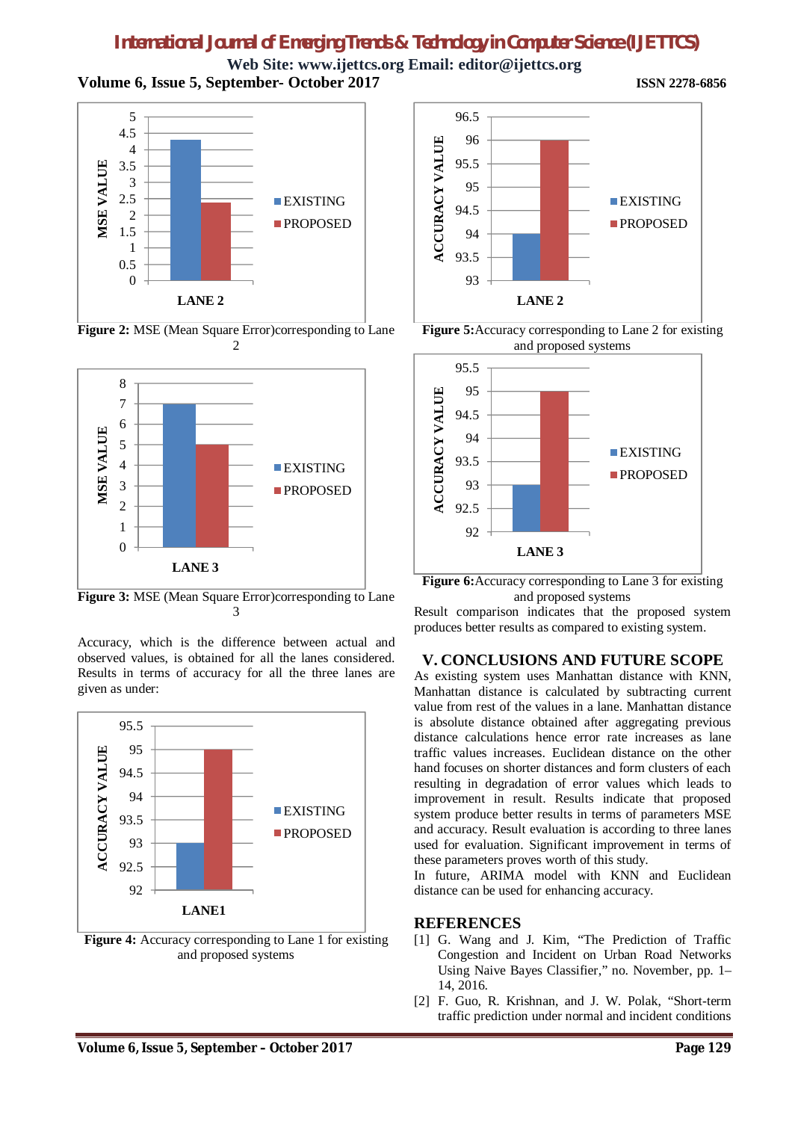**Web Site: www.ijettcs.org Email: editor@ijettcs.org Volume 6, Issue 5, September- October 2017 ISSN 2278-6856**



**Figure 2:** MSE (Mean Square Error)corresponding to Lane 2



**Figure 3:** MSE (Mean Square Error)corresponding to Lane 3

Accuracy, which is the difference between actual and observed values, is obtained for all the lanes considered. Results in terms of accuracy for all the three lanes are given as under:



Figure 4: Accuracy corresponding to Lane 1 for existing and proposed systems



**Figure 5:**Accuracy corresponding to Lane 2 for existing and proposed systems



**Figure 6:**Accuracy corresponding to Lane 3 for existing and proposed systems

Result comparison indicates that the proposed system produces better results as compared to existing system.

#### **V. CONCLUSIONS AND FUTURE SCOPE**

As existing system uses Manhattan distance with KNN, Manhattan distance is calculated by subtracting current value from rest of the values in a lane. Manhattan distance is absolute distance obtained after aggregating previous distance calculations hence error rate increases as lane traffic values increases. Euclidean distance on the other hand focuses on shorter distances and form clusters of each resulting in degradation of error values which leads to improvement in result. Results indicate that proposed system produce better results in terms of parameters MSE and accuracy. Result evaluation is according to three lanes used for evaluation. Significant improvement in terms of these parameters proves worth of this study.

In future, ARIMA model with KNN and Euclidean distance can be used for enhancing accuracy.

#### **REFERENCES**

- [1] G. Wang and J. Kim, "The Prediction of Traffic Congestion and Incident on Urban Road Networks Using Naive Bayes Classifier," no. November, pp. 1– 14, 2016.
- [2] F. Guo, R. Krishnan, and J. W. Polak, "Short-term" traffic prediction under normal and incident conditions